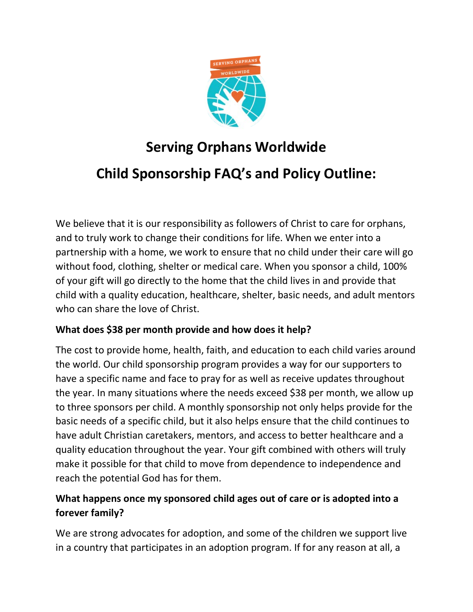

## **Serving Orphans Worldwide**

# **Child Sponsorship FAQ's and Policy Outline:**

We believe that it is our responsibility as followers of Christ to care for orphans, and to truly work to change their conditions for life. When we enter into a partnership with a home, we work to ensure that no child under their care will go without food, clothing, shelter or medical care. When you sponsor a child, 100% of your gift will go directly to the home that the child lives in and provide that child with a quality education, healthcare, shelter, basic needs, and adult mentors who can share the love of Christ.

#### **What does \$38 per month provide and how does it help?**

The cost to provide home, health, faith, and education to each child varies around the world. Our child sponsorship program provides a way for our supporters to have a specific name and face to pray for as well as receive updates throughout the year. In many situations where the needs exceed \$38 per month, we allow up to three sponsors per child. A monthly sponsorship not only helps provide for the basic needs of a specific child, but it also helps ensure that the child continues to have adult Christian caretakers, mentors, and access to better healthcare and a quality education throughout the year. Your gift combined with others will truly make it possible for that child to move from dependence to independence and reach the potential God has for them.

### **What happens once my sponsored child ages out of care or is adopted into a forever family?**

We are strong advocates for adoption, and some of the children we support live in a country that participates in an adoption program. If for any reason at all, a